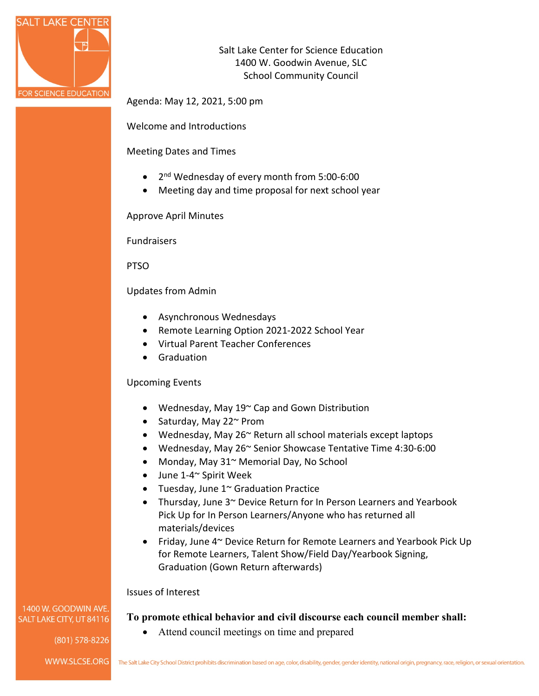

Salt Lake Center for Science Education 1400 W. Goodwin Avenue, SLC School Community Council

Agenda: May 12, 2021, 5:00 pm

Welcome and Introductions

Meeting Dates and Times

- 2<sup>nd</sup> Wednesday of every month from 5:00-6:00
- Meeting day and time proposal for next school year

Approve April Minutes

Fundraisers

PTSO

Updates from Admin

- Asynchronous Wednesdays
- Remote Learning Option 2021-2022 School Year
- Virtual Parent Teacher Conferences
- Graduation

## Upcoming Events

- Wednesday, May 19~ Cap and Gown Distribution
- Saturday, May 22~ Prom
- Wednesday, May 26~ Return all school materials except laptops
- Wednesday, May 26~ Senior Showcase Tentative Time 4:30-6:00
- Monday, May 31~ Memorial Day, No School

• Attend council meetings on time and prepared

- June 1-4~ Spirit Week
- Tuesday, June 1~ Graduation Practice
- Thursday, June 3~ Device Return for In Person Learners and Yearbook Pick Up for In Person Learners/Anyone who has returned all materials/devices
- Friday, June 4~ Device Return for Remote Learners and Yearbook Pick Up for Remote Learners, Talent Show/Field Day/Yearbook Signing, Graduation (Gown Return afterwards)

**To promote ethical behavior and civil discourse each council member shall:**

## Issues of Interest

1400 W. GOODWIN AVE. SALT LAKE CITY, UT 84116

 $(801)$  578-8226